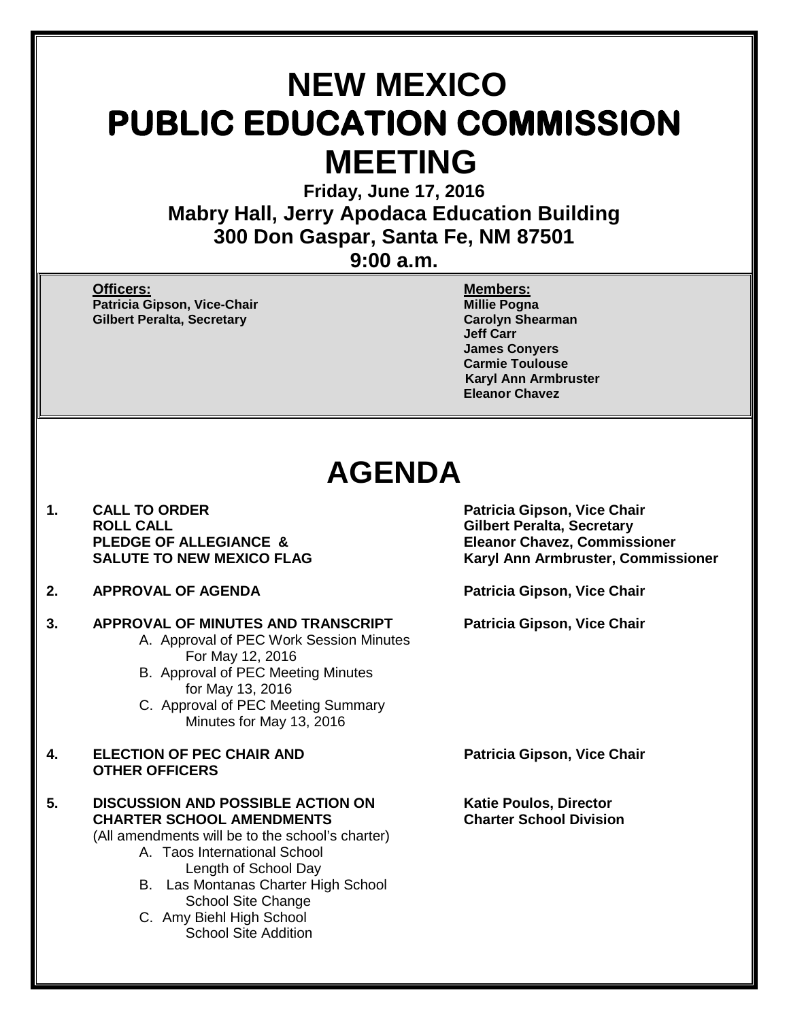# **NEW MEXICO PUBLIC EDUCATION COMMISSION MEETING**

**Friday, June 17, 2016 Mabry Hall, Jerry Apodaca Education Building 300 Don Gaspar, Santa Fe, NM 87501**

**9:00 a.m.**

**Officers: Members: Patricia Gipson, Vice-Chair Millie Pogna Gilbert Peralta, Secretary** 

**Jeff Carr James Conyers Carmie Toulouse Karyl Ann Armbruster Eleanor Chavez**

# **AGENDA**

- 1. CALL TO ORDER **1. Patricia Gipson, Vice Chair**<br>ROLL CALL **ROUL CALL PLEDGE OF ALLEGIANCE & Eleanor Chavez, Commissioner**
- **2. APPROVAL OF AGENDA Patricia Gipson, Vice Chair**

## **3. APPROVAL OF MINUTES AND TRANSCRIPT Patricia Gipson, Vice Chair**

- A. Approval of PEC Work Session Minutes For May 12, 2016
- B. Approval of PEC Meeting Minutes for May 13, 2016
- C. Approval of PEC Meeting Summary Minutes for May 13, 2016
- **4. ELECTION OF PEC CHAIR AND Patricia Gipson, Vice Chair OTHER OFFICERS**
- **5.** DISCUSSION AND POSSIBLE ACTION ON Katie Poulos, Director<br>CHARTER SCHOOL AMENDMENTS Charter School Division **CHARTER SCHOOL AMENDMENTS Charter School Division**

(All amendments will be to the school's charter)

- A. Taos International School Length of School Day
- B. Las Montanas Charter High School School Site Change
- C. Amy Biehl High School School Site Addition

**Gilbert Peralta, Secretary SALUTE TO NEW MEXICO FLAG Karyl Ann Armbruster, Commissioner**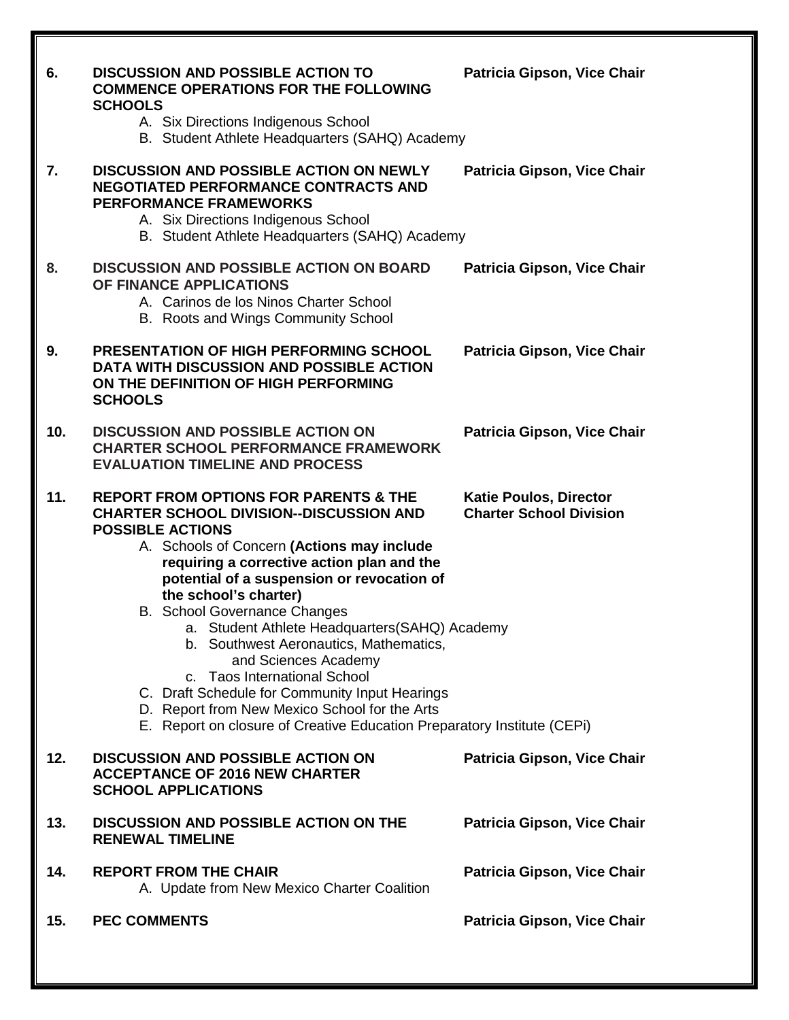| 6.  | <b>DISCUSSION AND POSSIBLE ACTION TO</b><br><b>COMMENCE OPERATIONS FOR THE FOLLOWING</b><br><b>SCHOOLS</b><br>A. Six Directions Indigenous School<br>B. Student Athlete Headquarters (SAHQ) Academy                                                                                                                                                                                                                                                                                                                                                                                                                                                                       | Patricia Gipson, Vice Chair                                     |
|-----|---------------------------------------------------------------------------------------------------------------------------------------------------------------------------------------------------------------------------------------------------------------------------------------------------------------------------------------------------------------------------------------------------------------------------------------------------------------------------------------------------------------------------------------------------------------------------------------------------------------------------------------------------------------------------|-----------------------------------------------------------------|
| 7.  | <b>DISCUSSION AND POSSIBLE ACTION ON NEWLY</b><br><b>NEGOTIATED PERFORMANCE CONTRACTS AND</b><br><b>PERFORMANCE FRAMEWORKS</b><br>A. Six Directions Indigenous School<br>B. Student Athlete Headquarters (SAHQ) Academy                                                                                                                                                                                                                                                                                                                                                                                                                                                   | Patricia Gipson, Vice Chair                                     |
| 8.  | <b>DISCUSSION AND POSSIBLE ACTION ON BOARD</b><br>OF FINANCE APPLICATIONS<br>A. Carinos de los Ninos Charter School<br>B. Roots and Wings Community School                                                                                                                                                                                                                                                                                                                                                                                                                                                                                                                | Patricia Gipson, Vice Chair                                     |
| 9.  | PRESENTATION OF HIGH PERFORMING SCHOOL<br>DATA WITH DISCUSSION AND POSSIBLE ACTION<br>ON THE DEFINITION OF HIGH PERFORMING<br><b>SCHOOLS</b>                                                                                                                                                                                                                                                                                                                                                                                                                                                                                                                              | Patricia Gipson, Vice Chair                                     |
| 10. | <b>DISCUSSION AND POSSIBLE ACTION ON</b><br><b>CHARTER SCHOOL PERFORMANCE FRAMEWORK</b><br><b>EVALUATION TIMELINE AND PROCESS</b>                                                                                                                                                                                                                                                                                                                                                                                                                                                                                                                                         | Patricia Gipson, Vice Chair                                     |
| 11. | <b>REPORT FROM OPTIONS FOR PARENTS &amp; THE</b><br><b>CHARTER SCHOOL DIVISION--DISCUSSION AND</b><br><b>POSSIBLE ACTIONS</b><br>A. Schools of Concern (Actions may include<br>requiring a corrective action plan and the<br>potential of a suspension or revocation of<br>the school's charter)<br><b>B.</b> School Governance Changes<br>a. Student Athlete Headquarters (SAHQ) Academy<br>b. Southwest Aeronautics, Mathematics,<br>and Sciences Academy<br>c. Taos International School<br>C. Draft Schedule for Community Input Hearings<br>D. Report from New Mexico School for the Arts<br>E. Report on closure of Creative Education Preparatory Institute (CEPi) | <b>Katie Poulos, Director</b><br><b>Charter School Division</b> |
| 12. | <b>DISCUSSION AND POSSIBLE ACTION ON</b><br><b>ACCEPTANCE OF 2016 NEW CHARTER</b><br><b>SCHOOL APPLICATIONS</b>                                                                                                                                                                                                                                                                                                                                                                                                                                                                                                                                                           | Patricia Gipson, Vice Chair                                     |
| 13. | <b>DISCUSSION AND POSSIBLE ACTION ON THE</b><br><b>RENEWAL TIMELINE</b>                                                                                                                                                                                                                                                                                                                                                                                                                                                                                                                                                                                                   | Patricia Gipson, Vice Chair                                     |
| 14. | <b>REPORT FROM THE CHAIR</b><br>A. Update from New Mexico Charter Coalition                                                                                                                                                                                                                                                                                                                                                                                                                                                                                                                                                                                               | Patricia Gipson, Vice Chair                                     |
| 15. | <b>PEC COMMENTS</b>                                                                                                                                                                                                                                                                                                                                                                                                                                                                                                                                                                                                                                                       | Patricia Gipson, Vice Chair                                     |